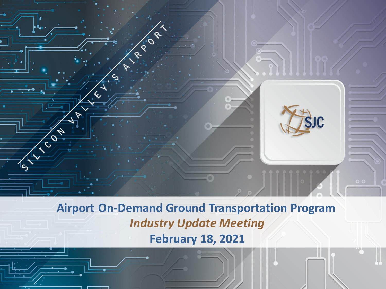

**Airport On-Demand Ground Transportation Program** *Industry Update Meeting*  **February 18, 2021**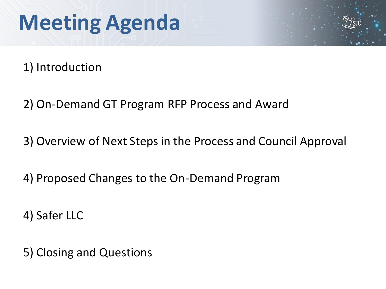## **Meeting Agenda**

1) Introduction

2) On-Demand GT Program RFP Process and Award

3) Overview of Next Steps in the Process and Council Approval

4) Proposed Changes to the On-Demand Program

4) Safer LLC

5) Closing and Questions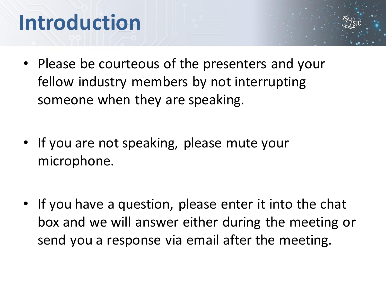## **Introduction**

- Please be courteous of the presenters and your fellow industry members by not interrupting someone when they are speaking.
- If you are not speaking, please mute your microphone.
- If you have a question, please enter it into the chat box and we will answer either during the meeting or send you a response via email after the meeting.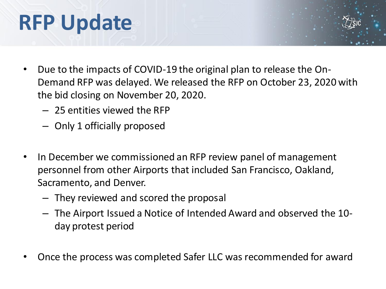## **RFP Update**

- Due to the impacts of COVID-19 the original plan to release the On-Demand RFP was delayed. We released the RFP on October 23, 2020 with the bid closing on November 20, 2020.
	- 25 entities viewed the RFP
	- Only 1 officially proposed
- In December we commissioned an RFP review panel of management personnel from other Airports that included San Francisco, Oakland, Sacramento, and Denver.
	- They reviewed and scored the proposal
	- The Airport Issued a Notice of Intended Award and observed the 10 day protest period
- Once the process was completed Safer LLC was recommended for award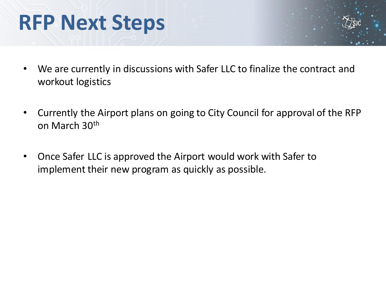#### **RFP Next Steps**

- We are currently in discussions with Safer LLC to finalize the contract and workout logistics
- Currently the Airport plans on going to City Council for approval of the RFP on March 30th
- Once Safer LLC is approved the Airport would work with Safer to implement their new program as quickly as possible.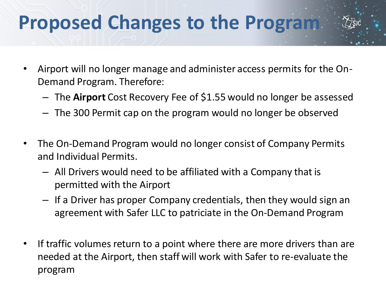#### **Proposed Changes to the Program**

- Airport will no longer manage and administer access permits for the On-Demand Program. Therefore:
	- The **Airport** Cost Recovery Fee of \$1.55 would no longer be assessed
	- The 300 Permit cap on the program would no longer be observed
- The On-Demand Program would no longer consist of Company Permits and Individual Permits.
	- All Drivers would need to be affiliated with a Company that is permitted with the Airport
	- If a Driver has proper Company credentials, then they would sign an agreement with Safer LLC to patriciate in the On-Demand Program
- If traffic volumes return to a point where there are more drivers than are needed at the Airport, then staff will work with Safer to re-evaluate the program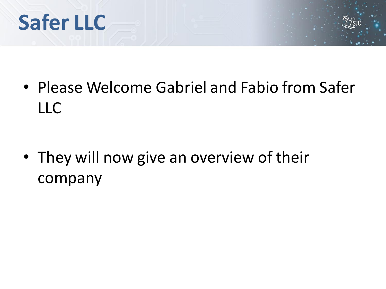## **Safer LLC**

• Please Welcome Gabriel and Fabio from Safer LLC

• They will now give an overview of their company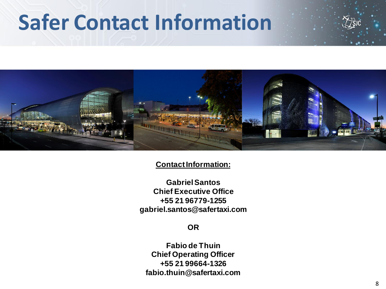## **Safer Contact Information**





#### **Contact Information:**

**Gabriel Santos Chief Executive Office +55 21 96779-1255 gabriel.santos@safertaxi.com**

#### **OR**

**Fabio de Thuin Chief Operating Officer +55 21 99664-1326 fabio.thuin@safertaxi.com**